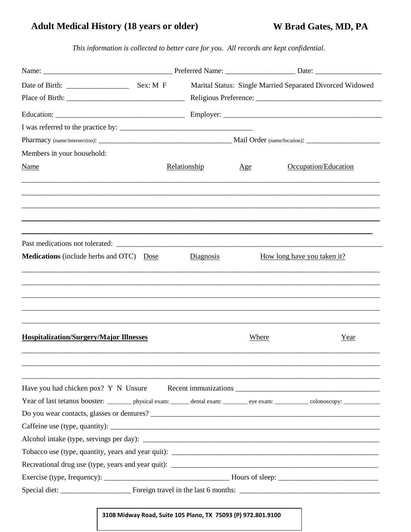## **Adult Medical History (18 years or older)**

W Brad Gates, MD, PA

This information is collected to better care for you. All records are kept confidential.

|                                                                                                                                         |  |              | Marital Status: Single Married Separated Divorced Widowed |                      |      |  |
|-----------------------------------------------------------------------------------------------------------------------------------------|--|--------------|-----------------------------------------------------------|----------------------|------|--|
|                                                                                                                                         |  |              |                                                           |                      |      |  |
|                                                                                                                                         |  |              |                                                           |                      |      |  |
|                                                                                                                                         |  |              |                                                           |                      |      |  |
|                                                                                                                                         |  |              |                                                           |                      |      |  |
| Members in your household:                                                                                                              |  |              |                                                           |                      |      |  |
| <b>Name</b>                                                                                                                             |  | Relationship | Age                                                       | Occupation/Education |      |  |
|                                                                                                                                         |  |              |                                                           |                      |      |  |
|                                                                                                                                         |  |              |                                                           |                      |      |  |
| <b>Medications</b> (include herbs and OTC) Dose<br>Diagnosis<br>How long have you taken it?                                             |  |              |                                                           |                      |      |  |
|                                                                                                                                         |  |              |                                                           |                      |      |  |
| <b>Hospitalization/Surgery/Major Illnesses</b>                                                                                          |  |              | <b>Where</b>                                              |                      | Year |  |
|                                                                                                                                         |  |              |                                                           |                      |      |  |
| Year of last tetanus booster: __________ physical exam: _______ dental exam: _________ eye exam: ___________ colonoscopy: _____________ |  |              |                                                           |                      |      |  |
|                                                                                                                                         |  |              |                                                           |                      |      |  |
|                                                                                                                                         |  |              |                                                           |                      |      |  |
|                                                                                                                                         |  |              |                                                           |                      |      |  |
|                                                                                                                                         |  |              |                                                           |                      |      |  |
|                                                                                                                                         |  |              |                                                           |                      |      |  |
|                                                                                                                                         |  |              |                                                           |                      |      |  |
|                                                                                                                                         |  |              |                                                           |                      |      |  |

## 3108 Midway Road, Suite 105 Plano, TX 75093 (P) 972.801.9100